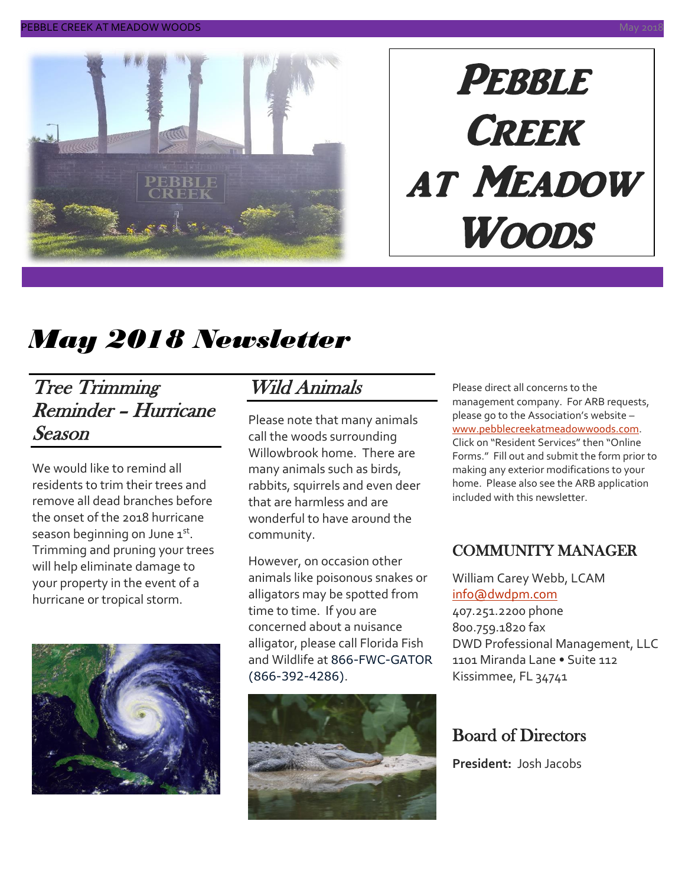

# **PEBBLE CREEK** at Meadow Woods

# *May 2018 Newsletter*

#### Tree Trimming Reminder – Hurricane Season

We would like to remind all residents to trim their trees and remove all dead branches before the onset of the 2018 hurricane season beginning on June 1st. Trimming and pruning your trees will help eliminate damage to your property in the event of a hurricane or tropical storm.



## Wild Animals

Please note that many animals call the woods surrounding Willowbrook home. There are many animals such as birds, rabbits, squirrels and even deer that are harmless and are wonderful to have around the community.

However, on occasion other animals like poisonous snakes or alligators may be spotted from time to time. If you are concerned about a nuisance alligator, please call Florida Fish and Wildlife at 866-FWC-GATOR (866-392-4286).



Please direct all concerns to the management company. For ARB requests, please go to the Association's website – [www.pebblecreekatmeadowwoods.com.](http://www.pebblecreekatmeadowwoods.com/) Click on "Resident Services" then "Online Forms." Fill out and submit the form prior to making any exterior modifications to your home. Please also see the ARB application included with this newsletter.

#### COMMUNITY MANAGER

William Carey Webb, LCAM [info@dwdpm.com](mailto:info@dwdpm.com)  407.251.2200 phone 800.759.1820 fax DWD Professional Management, LLC 1101 Miranda Lane • Suite 112 Kissimmee, FL 34741

#### Board of Directors

**President:** Josh Jacobs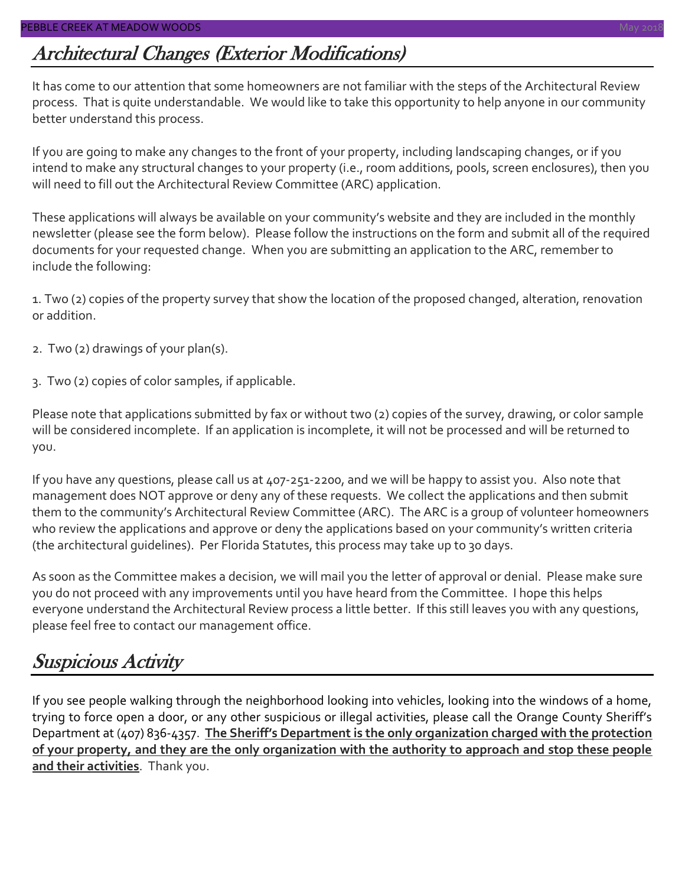### Architectural Changes (Exterior Modifications)

It has come to our attention that some homeowners are not familiar with the steps of the Architectural Review process. That is quite understandable. We would like to take this opportunity to help anyone in our community better understand this process.

If you are going to make any changes to the front of your property, including landscaping changes, or if you intend to make any structural changes to your property (i.e., room additions, pools, screen enclosures), then you will need to fill out the Architectural Review Committee (ARC) application.

These applications will always be available on your community's website and they are included in the monthly newsletter (please see the form below). Please follow the instructions on the form and submit all of the required documents for your requested change. When you are submitting an application to the ARC, remember to include the following:

1. Two (2) copies of the property survey that show the location of the proposed changed, alteration, renovation or addition.

- 2. Two (2) drawings of your plan(s).
- 3. Two (2) copies of color samples, if applicable.

Please note that applications submitted by fax or without two (2) copies of the survey, drawing, or color sample will be considered incomplete. If an application is incomplete, it will not be processed and will be returned to you.

If you have any questions, please call us at 407-251-2200, and we will be happy to assist you. Also note that management does NOT approve or deny any of these requests. We collect the applications and then submit them to the community's Architectural Review Committee (ARC). The ARC is a group of volunteer homeowners who review the applications and approve or deny the applications based on your community's written criteria (the architectural guidelines). Per Florida Statutes, this process may take up to 30 days.

As soon as the Committee makes a decision, we will mail you the letter of approval or denial. Please make sure you do not proceed with any improvements until you have heard from the Committee. I hope this helps everyone understand the Architectural Review process a little better. If this still leaves you with any questions, please feel free to contact our management office.

#### Suspicious Activity

If you see people walking through the neighborhood looking into vehicles, looking into the windows of a home, trying to force open a door, or any other suspicious or illegal activities, please call the Orange County Sheriff's Department at (407) 836-4357. **The Sheriff's Department is the only organization charged with the protection of your property, and they are the only organization with the authority to approach and stop these people and their activities**. Thank you.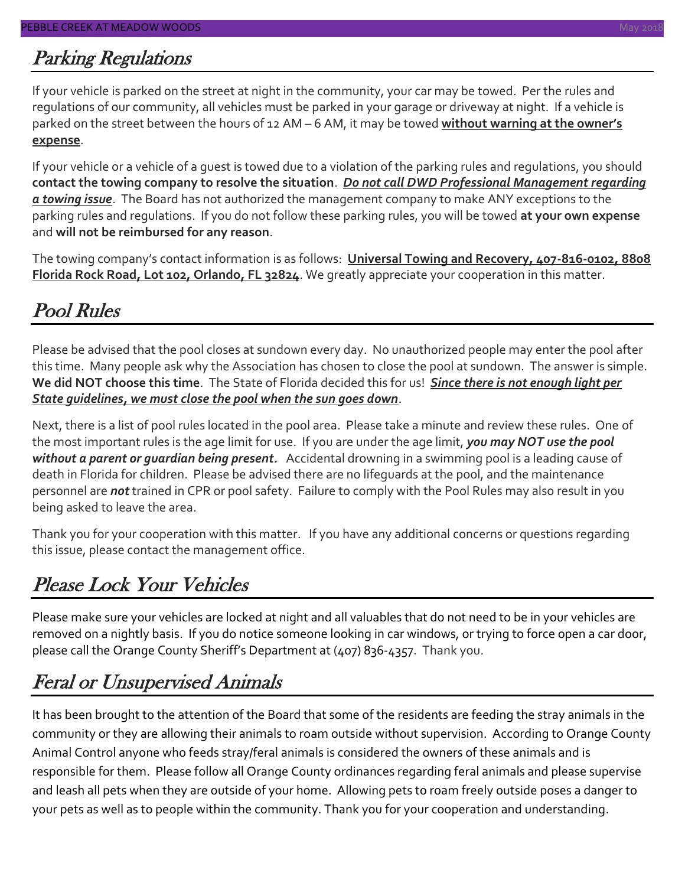### Parking Regulations

If your vehicle is parked on the street at night in the community, your car may be towed. Per the rules and regulations of our community, all vehicles must be parked in your garage or driveway at night. If a vehicle is parked on the street between the hours of 12 AM – 6 AM, it may be towed **without warning at the owner's expense**.

If your vehicle or a vehicle of a guest is towed due to a violation of the parking rules and regulations, you should **contact the towing company to resolve the situation**. *Do not call DWD Professional Management regarding a towing issue*. The Board has not authorized the management company to make ANY exceptions to the parking rules and regulations. If you do not follow these parking rules, you will be towed **at your own expense** and **will not be reimbursed for any reason**.

The towing company's contact information is as follows: **Universal Towing and Recovery, 407-816-0102, 8808 Florida Rock Road, Lot 102, Orlando, FL 32824**. We greatly appreciate your cooperation in this matter.

## Pool Rules

Please be advised that the pool closes at sundown every day. No unauthorized people may enter the pool after this time. Many people ask why the Association has chosen to close the pool at sundown. The answer is simple. **We did NOT choose this time**. The State of Florida decided this for us! *Since there is not enough light per State guidelines, we must close the pool when the sun goes down*.

Next, there is a list of pool rules located in the pool area. Please take a minute and review these rules. One of the most important rules is the age limit for use. If you are under the age limit, *you may NOT use the pool without a parent or guardian being present.* Accidental drowning in a swimming pool is a leading cause of death in Florida for children. Please be advised there are no lifeguards at the pool, and the maintenance personnel are *not* trained in CPR or pool safety. Failure to comply with the Pool Rules may also result in you being asked to leave the area.

Thank you for your cooperation with this matter. If you have any additional concerns or questions regarding this issue, please contact the management office.

## Please Lock Your Vehicles

Please make sure your vehicles are locked at night and all valuables that do not need to be in your vehicles are removed on a nightly basis. If you do notice someone looking in car windows, or trying to force open a car door, please call the Orange County Sheriff's Department at (407) 836-4357. Thank you.

#### Feral or Unsupervised Animals

It has been brought to the attention of the Board that some of the residents are feeding the stray animals in the community or they are allowing their animals to roam outside without supervision. According to Orange County Animal Control anyone who feeds stray/feral animals is considered the owners of these animals and is responsible for them. Please follow all Orange County ordinances regarding feral animals and please supervise and leash all pets when they are outside of your home. Allowing pets to roam freely outside poses a danger to your pets as well as to people within the community. Thank you for your cooperation and understanding.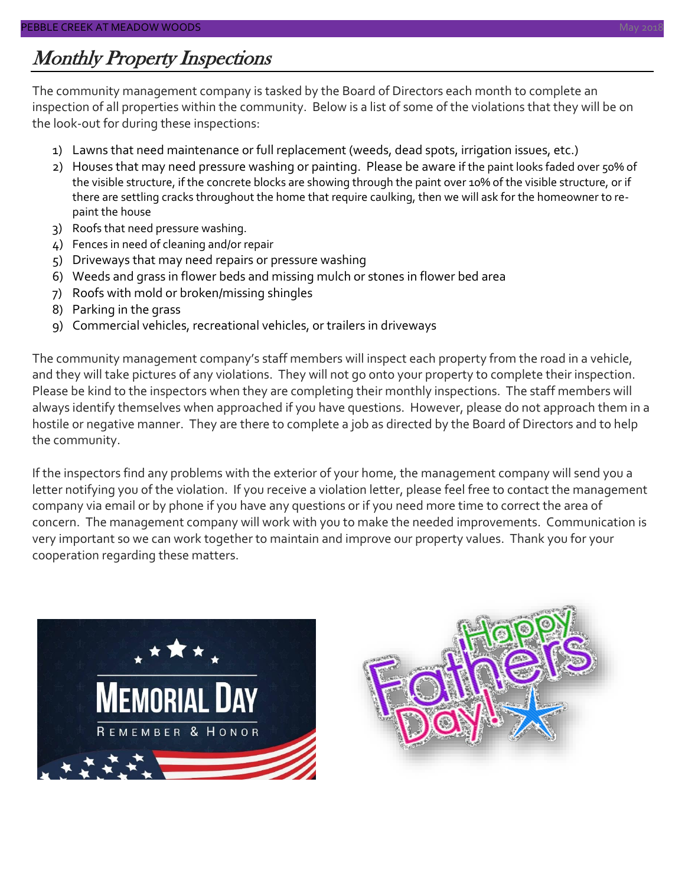#### Monthly Property Inspections

The community management company is tasked by the Board of Directors each month to complete an inspection of all properties within the community. Below is a list of some of the violations that they will be on the look-out for during these inspections:

- 1) Lawns that need maintenance or full replacement (weeds, dead spots, irrigation issues, etc.)
- 2) Houses that may need pressure washing or painting. Please be aware if the paint looks faded over 50% of the visible structure, if the concrete blocks are showing through the paint over 10% of the visible structure, or if there are settling cracks throughout the home that require caulking, then we will ask for the homeowner to repaint the house
- 3) Roofs that need pressure washing.
- 4) Fences in need of cleaning and/or repair
- 5) Driveways that may need repairs or pressure washing
- 6) Weeds and grass in flower beds and missing mulch or stones in flower bed area
- 7) Roofs with mold or broken/missing shingles
- 8) Parking in the grass
- 9) Commercial vehicles, recreational vehicles, or trailers in driveways

The community management company's staff members will inspect each property from the road in a vehicle, and they will take pictures of any violations. They will not go onto your property to complete their inspection. Please be kind to the inspectors when they are completing their monthly inspections. The staff members will always identify themselves when approached if you have questions. However, please do not approach them in a hostile or negative manner. They are there to complete a job as directed by the Board of Directors and to help the community.

If the inspectors find any problems with the exterior of your home, the management company will send you a letter notifying you of the violation. If you receive a violation letter, please feel free to contact the management company via email or by phone if you have any questions or if you need more time to correct the area of concern. The management company will work with you to make the needed improvements. Communication is very important so we can work together to maintain and improve our property values. Thank you for your cooperation regarding these matters.



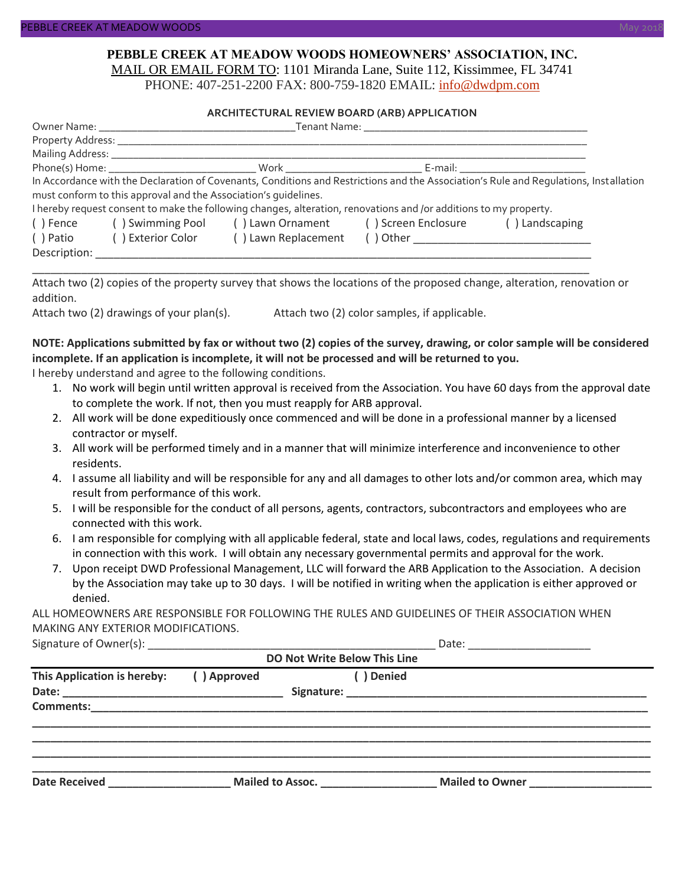#### **PEBBLE CREEK AT MEADOW WOODS HOMEOWNERS' ASSOCIATION, INC.** MAIL OR EMAIL FORM TO: 1101 Miranda Lane, Suite 112, Kissimmee, FL 34741

PHONE: 407-251-2200 FAX: 800-759-1820 EMAIL: [info@dwdpm.com](mailto:info@dwdpm.com)

#### **ARCHITECTURAL REVIEW BOARD (ARB) APPLICATION**

| Mailing Address: _____________                                                                                    |                                                                 |                     |                                      |                                                                                                                                                                                                                                |  |  |
|-------------------------------------------------------------------------------------------------------------------|-----------------------------------------------------------------|---------------------|--------------------------------------|--------------------------------------------------------------------------------------------------------------------------------------------------------------------------------------------------------------------------------|--|--|
|                                                                                                                   |                                                                 |                     |                                      | E-mail: E-mail: E-mail: E-mail: E-mail: E-mail: E-mail: E-mail: E-mail: E-mail: E-mail: E-mail: E-mail: E-mail: E-mail: E-mail: E-mail: E-mail: E-mail: E-mail: E-mail: E-mail: E-mail: E-mail: E-mail: E-mail: E-mail: E-mail |  |  |
|                                                                                                                   |                                                                 |                     |                                      | In Accordance with the Declaration of Covenants, Conditions and Restrictions and the Association's Rule and Regulations, Installation                                                                                          |  |  |
|                                                                                                                   | must conform to this approval and the Association's quidelines. |                     |                                      |                                                                                                                                                                                                                                |  |  |
| I hereby request consent to make the following changes, alteration, renovations and /or additions to my property. |                                                                 |                     |                                      |                                                                                                                                                                                                                                |  |  |
| ( ) Fence                                                                                                         | () Swimming Pool                                                |                     | () Lawn Ornament () Screen Enclosure | () Landscaping                                                                                                                                                                                                                 |  |  |
| ( ) Patio                                                                                                         | () Exterior Color                                               | () Lawn Replacement | $( )$ Other                          |                                                                                                                                                                                                                                |  |  |
| Description:                                                                                                      |                                                                 |                     |                                      |                                                                                                                                                                                                                                |  |  |

Attach two (2) copies of the property survey that shows the locations of the proposed change, alteration, renovation or addition.

\_\_\_\_\_\_\_\_\_\_\_\_\_\_\_\_\_\_\_\_\_\_\_\_\_\_\_\_\_\_\_\_\_\_\_\_\_\_\_\_\_\_\_\_\_\_\_\_\_\_\_\_\_\_\_\_\_\_\_\_\_\_\_\_\_\_\_\_\_\_\_\_\_\_\_\_\_\_\_\_\_\_\_\_\_\_\_\_\_\_\_

Attach two (2) drawings of your plan(s). Attach two (2) color samples, if applicable.

#### **NOTE: Applications submitted by fax or without two (2) copies of the survey, drawing, or color sample will be considered incomplete. If an application is incomplete, it will not be processed and will be returned to you.**

I hereby understand and agree to the following conditions.

- 1. No work will begin until written approval is received from the Association. You have 60 days from the approval date to complete the work. If not, then you must reapply for ARB approval.
- 2. All work will be done expeditiously once commenced and will be done in a professional manner by a licensed contractor or myself.
- 3. All work will be performed timely and in a manner that will minimize interference and inconvenience to other residents.
- 4. I assume all liability and will be responsible for any and all damages to other lots and/or common area, which may result from performance of this work.
- 5. I will be responsible for the conduct of all persons, agents, contractors, subcontractors and employees who are connected with this work.
- 6. I am responsible for complying with all applicable federal, state and local laws, codes, regulations and requirements in connection with this work. I will obtain any necessary governmental permits and approval for the work.
- 7. Upon receipt DWD Professional Management, LLC will forward the ARB Application to the Association. A decision by the Association may take up to 30 days. I will be notified in writing when the application is either approved or denied.

ALL HOMEOWNERS ARE RESPONSIBLE FOR FOLLOWING THE RULES AND GUIDELINES OF THEIR ASSOCIATION WHEN MAKING ANY EXTERIOR MODIFICATIONS.

| Signature of Owner(s): |  |
|------------------------|--|
|                        |  |

|                                        |             | Date: ______________________ |                                     |                                                      |  |
|----------------------------------------|-------------|------------------------------|-------------------------------------|------------------------------------------------------|--|
|                                        |             |                              | <b>DO Not Write Below This Line</b> |                                                      |  |
| This Application is hereby:            | () Approved |                              | ( ) Denied                          |                                                      |  |
|                                        |             |                              |                                     |                                                      |  |
|                                        |             |                              |                                     |                                                      |  |
|                                        |             |                              |                                     |                                                      |  |
|                                        |             |                              |                                     |                                                      |  |
|                                        |             |                              |                                     |                                                      |  |
|                                        |             |                              |                                     |                                                      |  |
| Date Received <b>Exercise Services</b> |             | Mailed to Assoc.             |                                     | Mailed to Owner<br><u> Looman and Communications</u> |  |